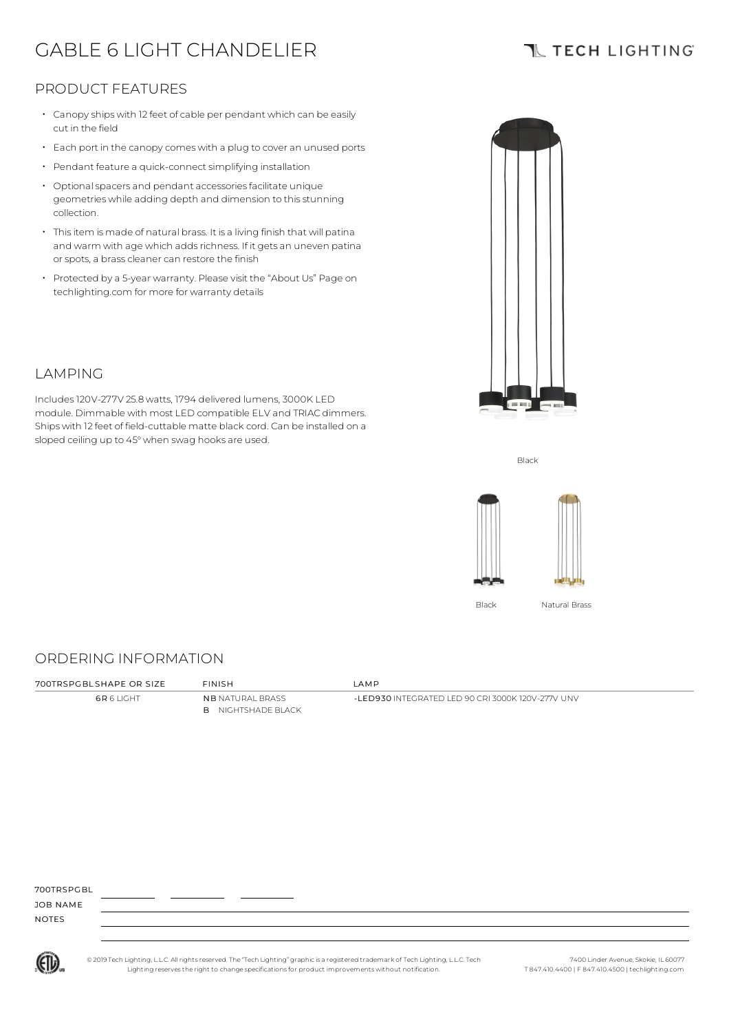# GABLE 6 LIGHT CHANDELIER

## **TL TECH LIGHTING**

### PRODUCT FEATURES

- Canopy ships with 12 feet of cable per pendant which can be easily cut in the field
- Each port in the canopycomes with <sup>a</sup> plug to cover an unused ports
- Pendant feature a quick-connect simplifying installation
- Optional spacers and pendant accessories facilitate unique geometries while adding depth and dimension to thisstunning collection.
- Thisitem is made of natural brass. It is a living finish that will patina and warm with age which adds richness. If it gets an uneven patina or spots, a brass cleaner can restore the finish
- Protected by a 5-year warranty. Please visit the "About Us" Page on techlighting.com for more for warranty details



Includes120V-277V 25.8 watts, 1794 delivered lumens, 3000K LED module. Dimmable with most LED compatible ELV and TRIAC dimmers. Ships with 12 feet of field-cuttable matte black cord. Can be installed on a sloped ceiling up to 45° when swag hooks are used.







Black Natural Brass

#### ORDERING INFORMATION

6R 6 LIGHT NB NATURAL BRASS B NIGHTSHADE BLACK

700TRSPGBL SHAPE OR SIZE FINISH LAMP

-LED930 INTEGRATED LED 90 CRI 3000K 120V-277V UNV

700TDSPCBL

JOB NAME NOTES



© 2019 Tech Lighting, L.L.C. All rightsreserved. The "Tech Lighting" graphicis a registered trademark of Tech Lighting, L.L.C. Tech Lighting reservesthe right to change specificationsfor product improvements without notification.

7400 Linder Avenue, Skokie, IL 60077 T 847.410.4400 | F 847.410.4500 | techlighting.com